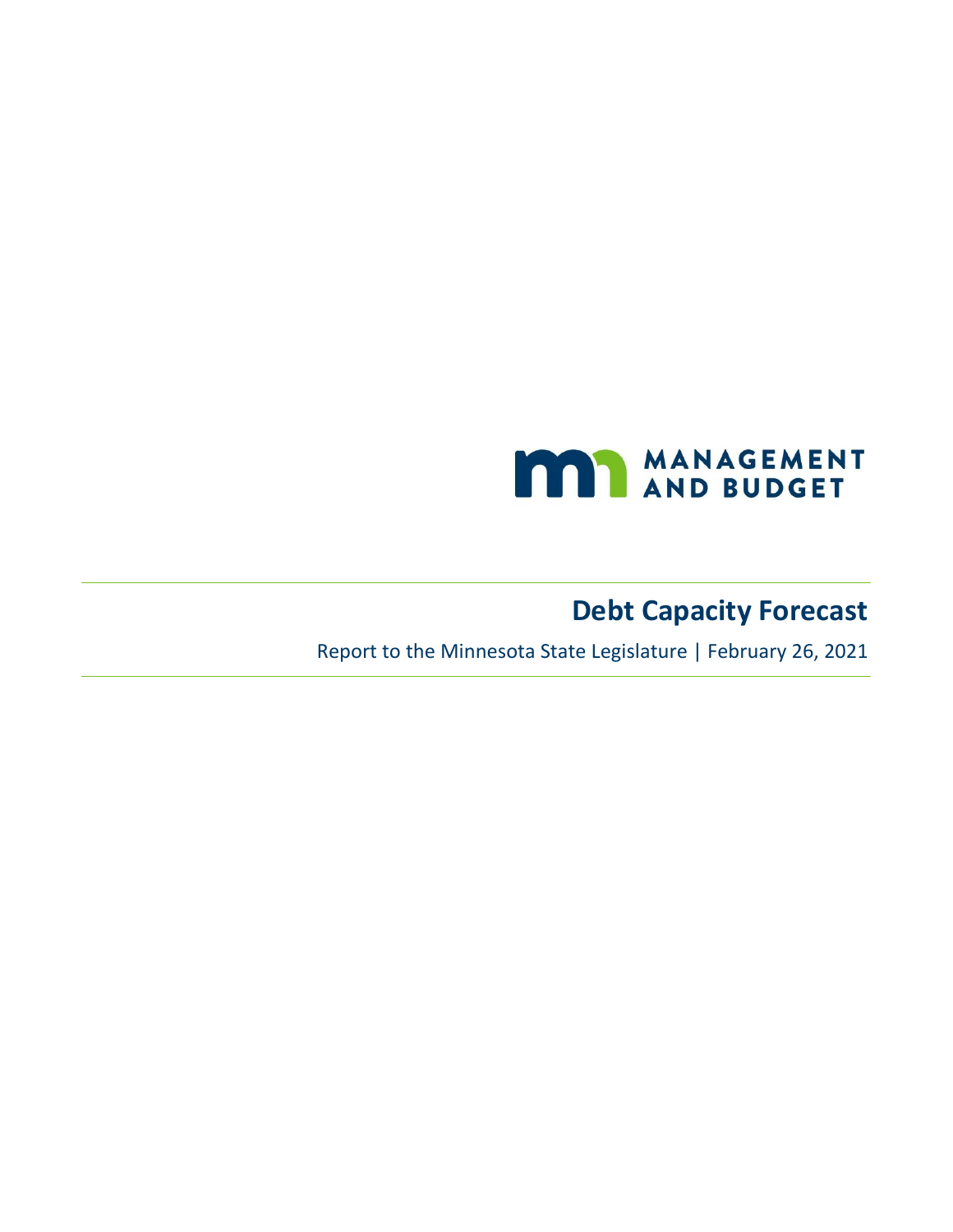

# **Debt Capacity Forecast**

Report to the Minnesota State Legislature | February 26, 2021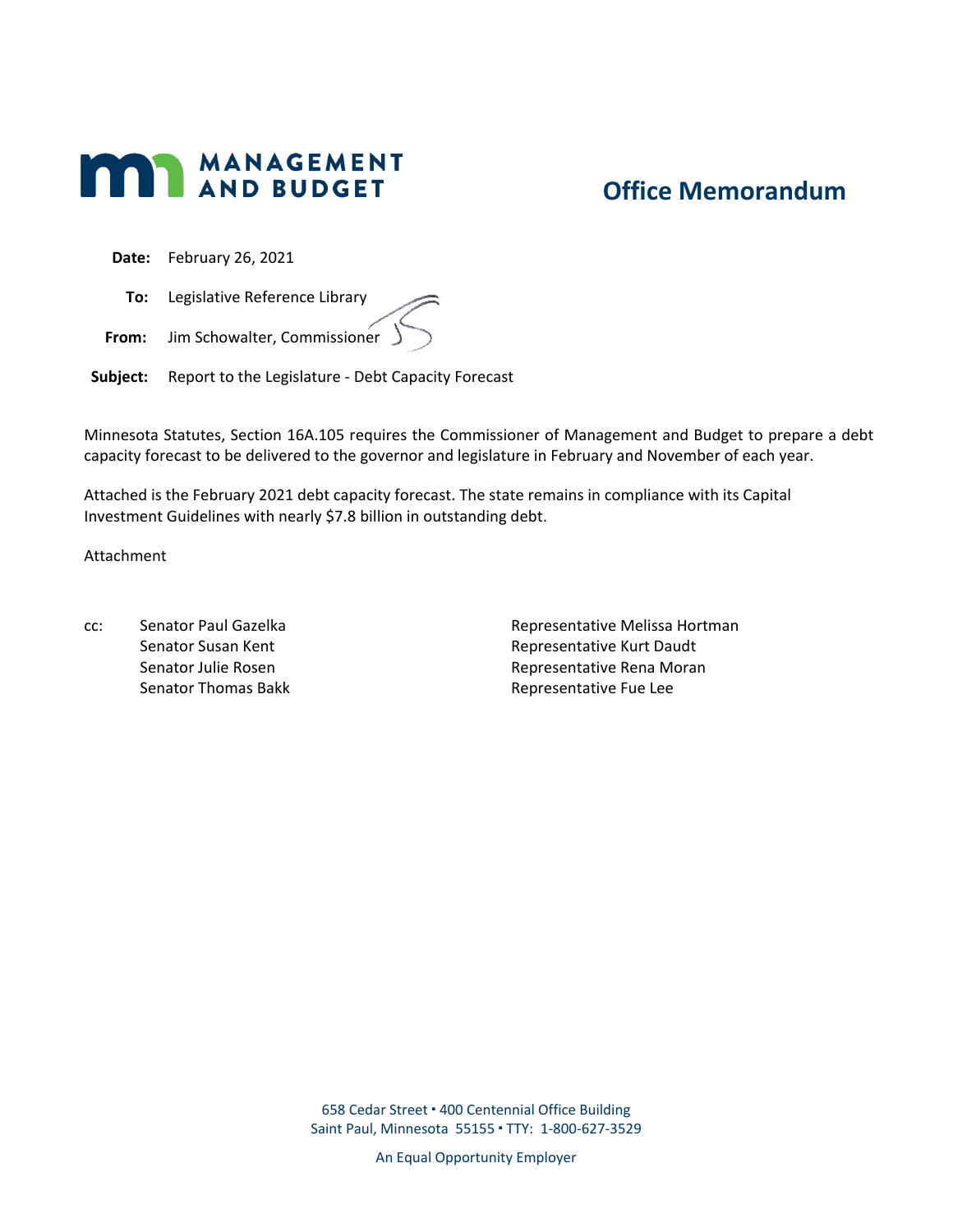

## **Office Memorandum**

**Date:** February 26, 2021

**To:** Legislative Reference Library

**From:** Jim Schowalter, Commissioner

**Subject:** Report to the Legislature - Debt Capacity Forecast

Minnesota Statutes, Section 16A.105 requires the Commissioner of Management and Budget to prepare a debt capacity forecast to be delivered to the governor and legislature in February and November of each year.

Attached is the February 2021 debt capacity forecast. The state remains in compliance with its Capital Investment Guidelines with nearly \$7.8 billion in outstanding debt.

Attachment

cc: Senator Paul Gazelka Senator Susan Kent Senator Julie Rosen Senator Thomas Bakk Representative Melissa Hortman Representative Kurt Daudt Representative Rena Moran Representative Fue Lee

658 Cedar Street 400 Centennial Office Building Saint Paul, Minnesota 55155 TTY: 1-800-627-3529

An Equal Opportunity Employer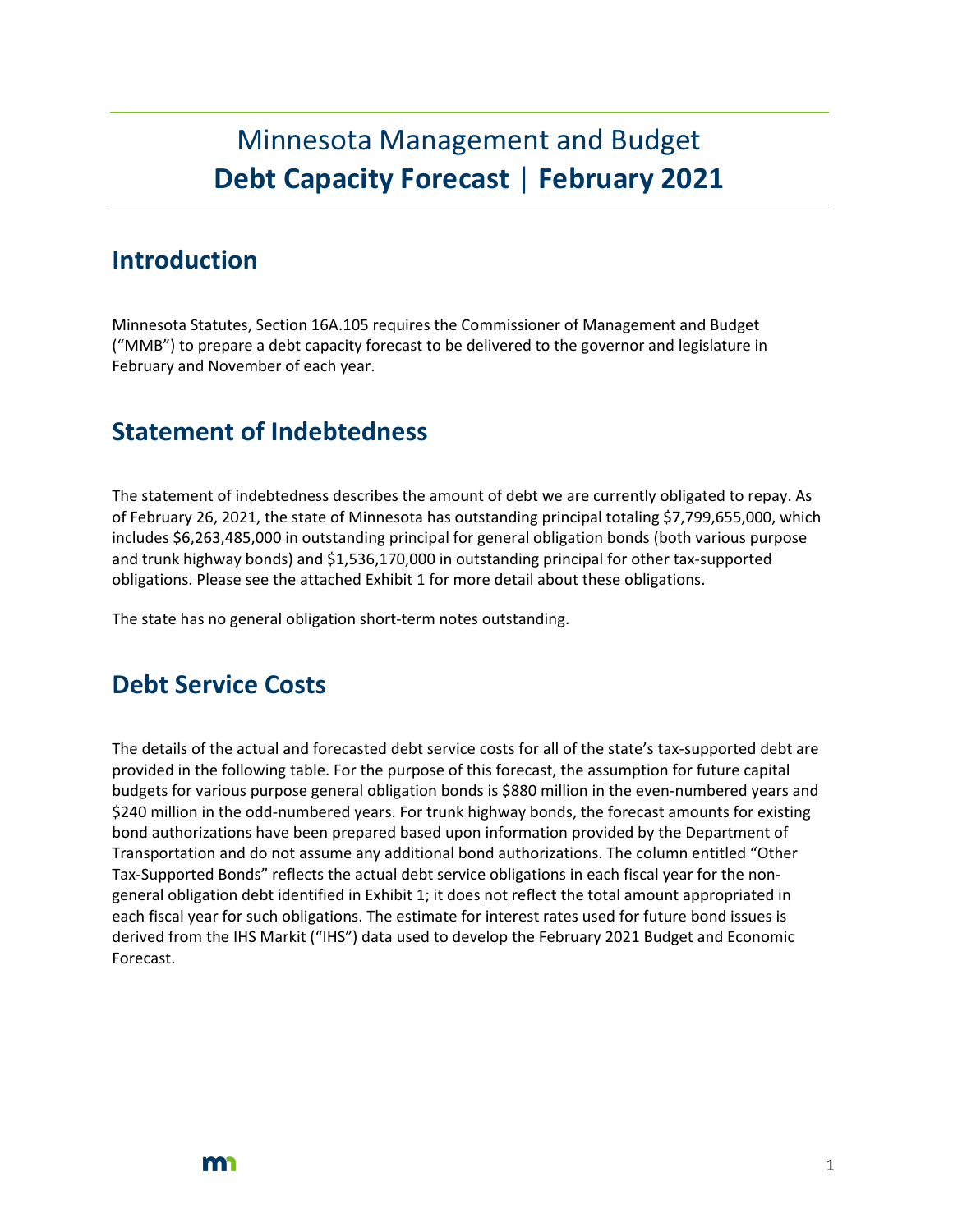# Minnesota Management and Budget **Debt Capacity Forecast** | **February 2021**

### **Introduction**

Minnesota Statutes, Section 16A.105 requires the Commissioner of Management and Budget ("MMB") to prepare a debt capacity forecast to be delivered to the governor and legislature in February and November of each year.

## **Statement of Indebtedness**

The statement of indebtedness describes the amount of debt we are currently obligated to repay. As of February 26, 2021, the state of Minnesota has outstanding principal totaling \$7,799,655,000, which includes \$6,263,485,000 in outstanding principal for general obligation bonds (both various purpose and trunk highway bonds) and \$1,536,170,000 in outstanding principal for other tax-supported obligations. Please see the attached Exhibit 1 for more detail about these obligations.

The state has no general obligation short-term notes outstanding.

### **Debt Service Costs**

The details of the actual and forecasted debt service costs for all of the state's tax-supported debt are provided in the following table. For the purpose of this forecast, the assumption for future capital budgets for various purpose general obligation bonds is \$880 million in the even-numbered years and \$240 million in the odd-numbered years. For trunk highway bonds, the forecast amounts for existing bond authorizations have been prepared based upon information provided by the Department of Transportation and do not assume any additional bond authorizations. The column entitled "Other Tax-Supported Bonds" reflects the actual debt service obligations in each fiscal year for the nongeneral obligation debt identified in Exhibit 1; it does not reflect the total amount appropriated in each fiscal year for such obligations. The estimate for interest rates used for future bond issues is derived from the IHS Markit ("IHS") data used to develop the February 2021 Budget and Economic Forecast.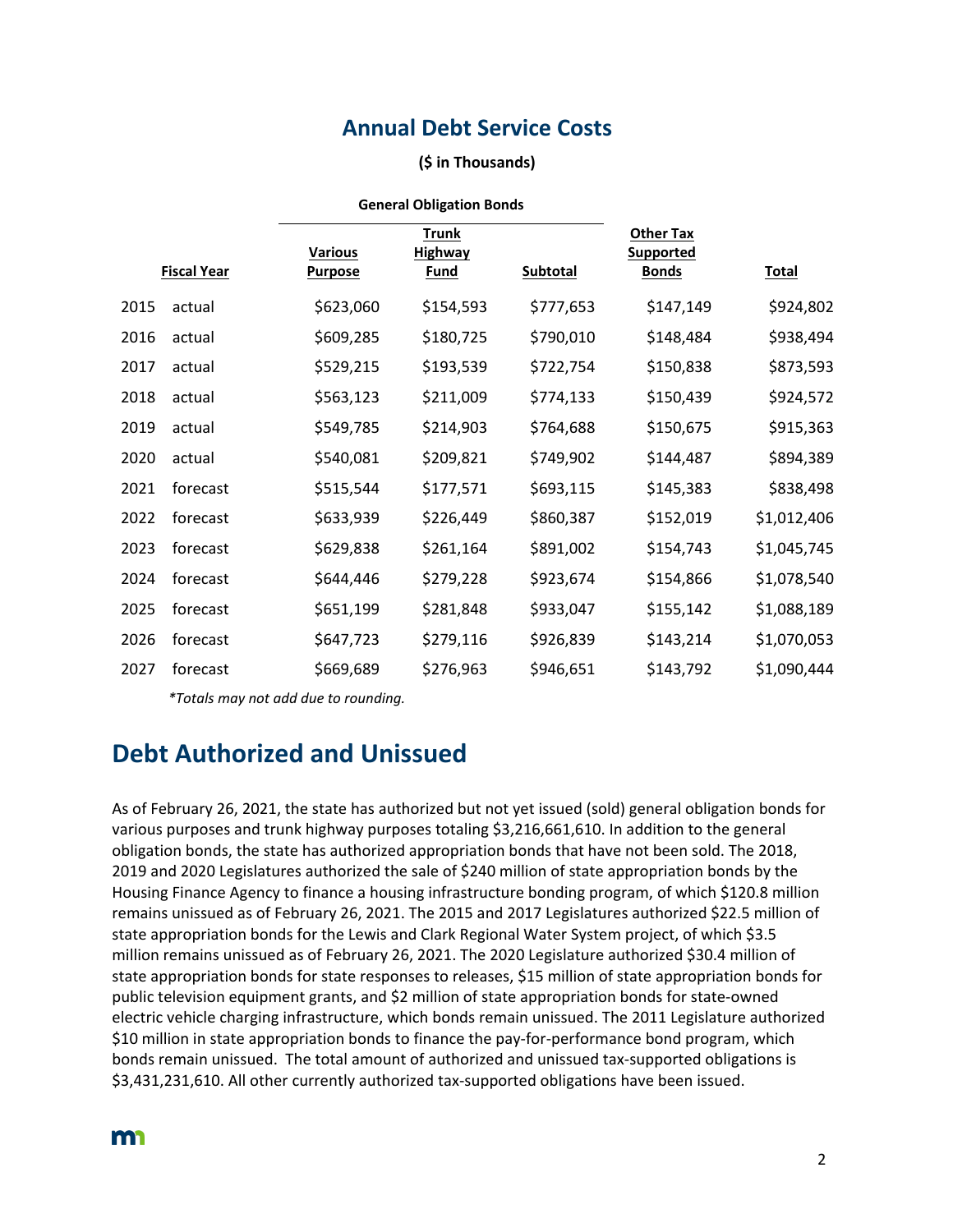### **Annual Debt Service Costs**

#### **(\$ in Thousands)**

|      |                    | <b>General Obligation Bonds</b> |                |                 |                  |              |
|------|--------------------|---------------------------------|----------------|-----------------|------------------|--------------|
|      |                    |                                 | <b>Trunk</b>   |                 | <b>Other Tax</b> |              |
|      |                    | <b>Various</b>                  | <b>Highway</b> |                 | <b>Supported</b> |              |
|      | <b>Fiscal Year</b> | <b>Purpose</b>                  | <b>Fund</b>    | <b>Subtotal</b> | <b>Bonds</b>     | <b>Total</b> |
| 2015 | actual             | \$623,060                       | \$154,593      | \$777,653       | \$147,149        | \$924,802    |
| 2016 | actual             | \$609,285                       | \$180,725      | \$790,010       | \$148,484        | \$938,494    |
| 2017 | actual             | \$529,215                       | \$193,539      | \$722,754       | \$150,838        | \$873,593    |
| 2018 | actual             | \$563,123                       | \$211,009      | \$774,133       | \$150,439        | \$924,572    |
| 2019 | actual             | \$549,785                       | \$214,903      | \$764,688       | \$150,675        | \$915,363    |
| 2020 | actual             | \$540,081                       | \$209,821      | \$749,902       | \$144,487        | \$894,389    |
| 2021 | forecast           | \$515,544                       | \$177,571      | \$693,115       | \$145,383        | \$838,498    |
| 2022 | forecast           | \$633,939                       | \$226,449      | \$860,387       | \$152,019        | \$1,012,406  |
| 2023 | forecast           | \$629,838                       | \$261,164      | \$891,002       | \$154,743        | \$1,045,745  |
| 2024 | forecast           | \$644,446                       | \$279,228      | \$923,674       | \$154,866        | \$1,078,540  |
| 2025 | forecast           | \$651,199                       | \$281,848      | \$933,047       | \$155,142        | \$1,088,189  |
| 2026 | forecast           | \$647,723                       | \$279,116      | \$926,839       | \$143,214        | \$1,070,053  |
| 2027 | forecast           | \$669,689                       | \$276,963      | \$946,651       | \$143,792        | \$1,090,444  |

*\*Totals may not add due to rounding.*

## **Debt Authorized and Unissued**

As of February 26, 2021, the state has authorized but not yet issued (sold) general obligation bonds for various purposes and trunk highway purposes totaling \$3,216,661,610. In addition to the general obligation bonds, the state has authorized appropriation bonds that have not been sold. The 2018, 2019 and 2020 Legislatures authorized the sale of \$240 million of state appropriation bonds by the Housing Finance Agency to finance a housing infrastructure bonding program, of which \$120.8 million remains unissued as of February 26, 2021. The 2015 and 2017 Legislatures authorized \$22.5 million of state appropriation bonds for the Lewis and Clark Regional Water System project, of which \$3.5 million remains unissued as of February 26, 2021. The 2020 Legislature authorized \$30.4 million of state appropriation bonds for state responses to releases, \$15 million of state appropriation bonds for public television equipment grants, and \$2 million of state appropriation bonds for state-owned electric vehicle charging infrastructure, which bonds remain unissued. The 2011 Legislature authorized \$10 million in state appropriation bonds to finance the pay-for-performance bond program, which bonds remain unissued. The total amount of authorized and unissued tax-supported obligations is \$3,431,231,610. All other currently authorized tax-supported obligations have been issued.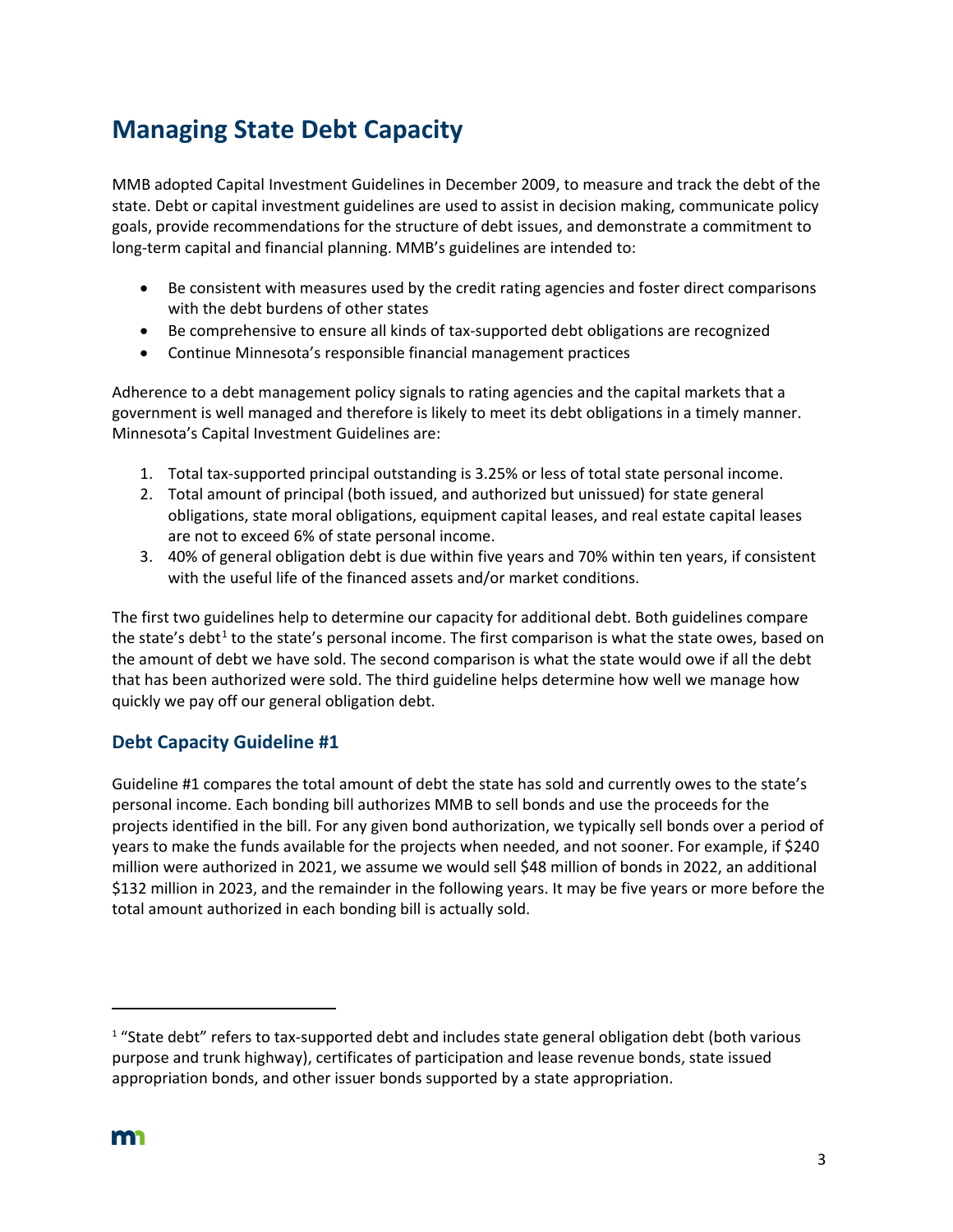## **Managing State Debt Capacity**

MMB adopted Capital Investment Guidelines in December 2009, to measure and track the debt of the state. Debt or capital investment guidelines are used to assist in decision making, communicate policy goals, provide recommendations for the structure of debt issues, and demonstrate a commitment to long-term capital and financial planning. MMB's guidelines are intended to:

- Be consistent with measures used by the credit rating agencies and foster direct comparisons with the debt burdens of other states
- Be comprehensive to ensure all kinds of tax-supported debt obligations are recognized
- Continue Minnesota's responsible financial management practices

Adherence to a debt management policy signals to rating agencies and the capital markets that a government is well managed and therefore is likely to meet its debt obligations in a timely manner. Minnesota's Capital Investment Guidelines are:

- 1. Total tax-supported principal outstanding is 3.25% or less of total state personal income.
- 2. Total amount of principal (both issued, and authorized but unissued) for state general obligations, state moral obligations, equipment capital leases, and real estate capital leases are not to exceed 6% of state personal income.
- 3. 40% of general obligation debt is due within five years and 70% within ten years, if consistent with the useful life of the financed assets and/or market conditions.

The first two guidelines help to determine our capacity for additional debt. Both guidelines compare the state's debt<sup>[1](#page-4-0)</sup> to the state's personal income. The first comparison is what the state owes, based on the amount of debt we have sold. The second comparison is what the state would owe if all the debt that has been authorized were sold. The third guideline helps determine how well we manage how quickly we pay off our general obligation debt.

### **Debt Capacity Guideline #1**

Guideline #1 compares the total amount of debt the state has sold and currently owes to the state's personal income. Each bonding bill authorizes MMB to sell bonds and use the proceeds for the projects identified in the bill. For any given bond authorization, we typically sell bonds over a period of years to make the funds available for the projects when needed, and not sooner. For example, if \$240 million were authorized in 2021, we assume we would sell \$48 million of bonds in 2022, an additional \$132 million in 2023, and the remainder in the following years. It may be five years or more before the total amount authorized in each bonding bill is actually sold.

<span id="page-4-0"></span> $1$  "State debt" refers to tax-supported debt and includes state general obligation debt (both various purpose and trunk highway), certificates of participation and lease revenue bonds, state issued appropriation bonds, and other issuer bonds supported by a state appropriation.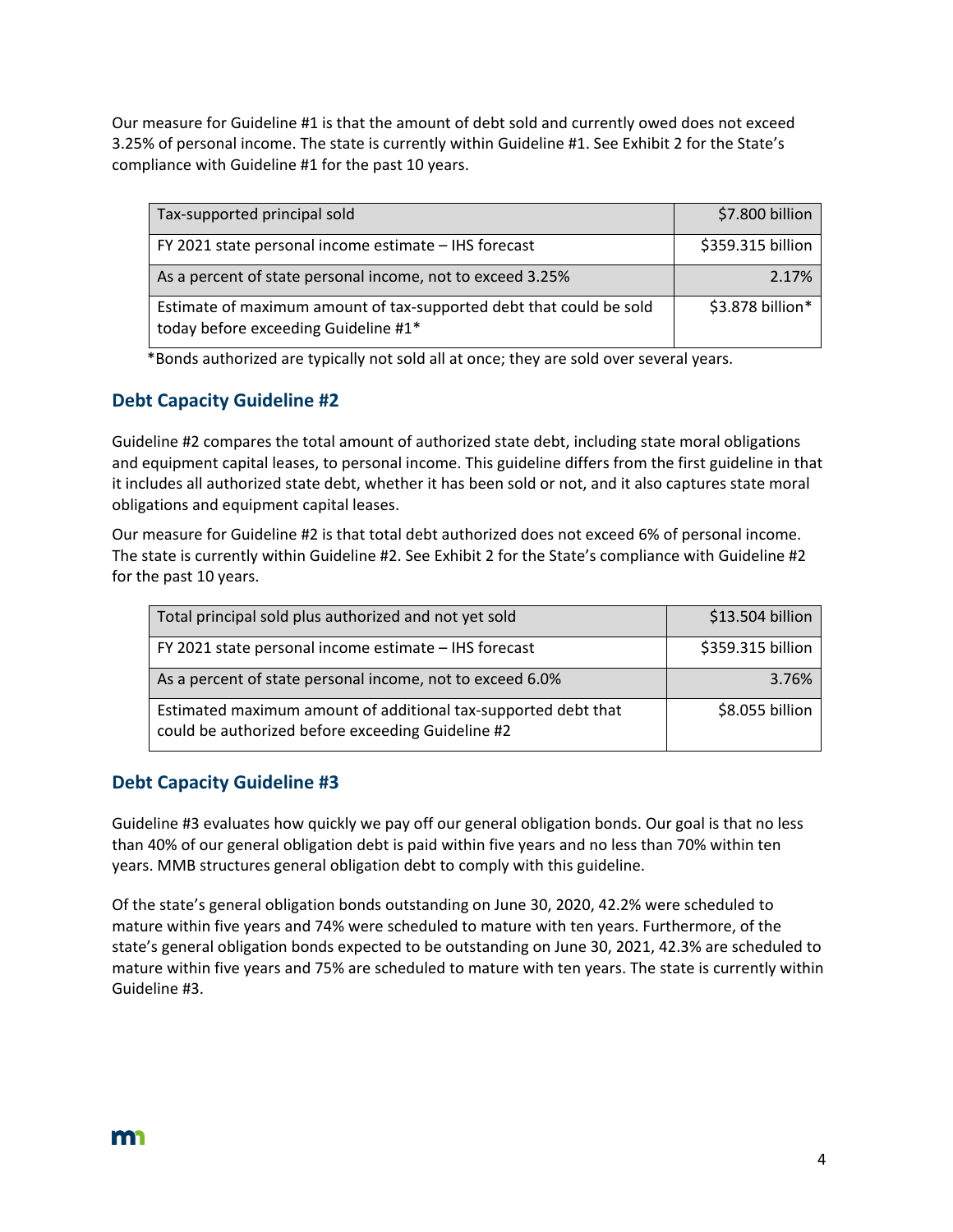Our measure for Guideline #1 is that the amount of debt sold and currently owed does not exceed 3.25% of personal income. The state is currently within Guideline #1. See Exhibit 2 for the State's compliance with Guideline #1 for the past 10 years.

| Tax-supported principal sold                                                                                | \$7.800 billion   |
|-------------------------------------------------------------------------------------------------------------|-------------------|
| FY 2021 state personal income estimate - IHS forecast                                                       | \$359.315 billion |
| As a percent of state personal income, not to exceed 3.25%                                                  | 2.17%             |
| Estimate of maximum amount of tax-supported debt that could be sold<br>today before exceeding Guideline #1* | \$3.878 billion*  |

\*Bonds authorized are typically not sold all at once; they are sold over several years.

### **Debt Capacity Guideline #2**

Guideline #2 compares the total amount of authorized state debt, including state moral obligations and equipment capital leases, to personal income. This guideline differs from the first guideline in that it includes all authorized state debt, whether it has been sold or not, and it also captures state moral obligations and equipment capital leases.

Our measure for Guideline #2 is that total debt authorized does not exceed 6% of personal income. The state is currently within Guideline #2. See Exhibit 2 for the State's compliance with Guideline #2 for the past 10 years.

| Total principal sold plus authorized and not yet sold                                                               | \$13.504 billion  |
|---------------------------------------------------------------------------------------------------------------------|-------------------|
| FY 2021 state personal income estimate - IHS forecast                                                               | \$359.315 billion |
| As a percent of state personal income, not to exceed 6.0%                                                           | 3.76%             |
| Estimated maximum amount of additional tax-supported debt that<br>could be authorized before exceeding Guideline #2 | \$8.055 billion   |

### **Debt Capacity Guideline #3**

Guideline #3 evaluates how quickly we pay off our general obligation bonds. Our goal is that no less than 40% of our general obligation debt is paid within five years and no less than 70% within ten years. MMB structures general obligation debt to comply with this guideline.

Of the state's general obligation bonds outstanding on June 30, 2020, 42.2% were scheduled to mature within five years and 74% were scheduled to mature with ten years. Furthermore, of the state's general obligation bonds expected to be outstanding on June 30, 2021, 42.3% are scheduled to mature within five years and 75% are scheduled to mature with ten years. The state is currently within Guideline #3.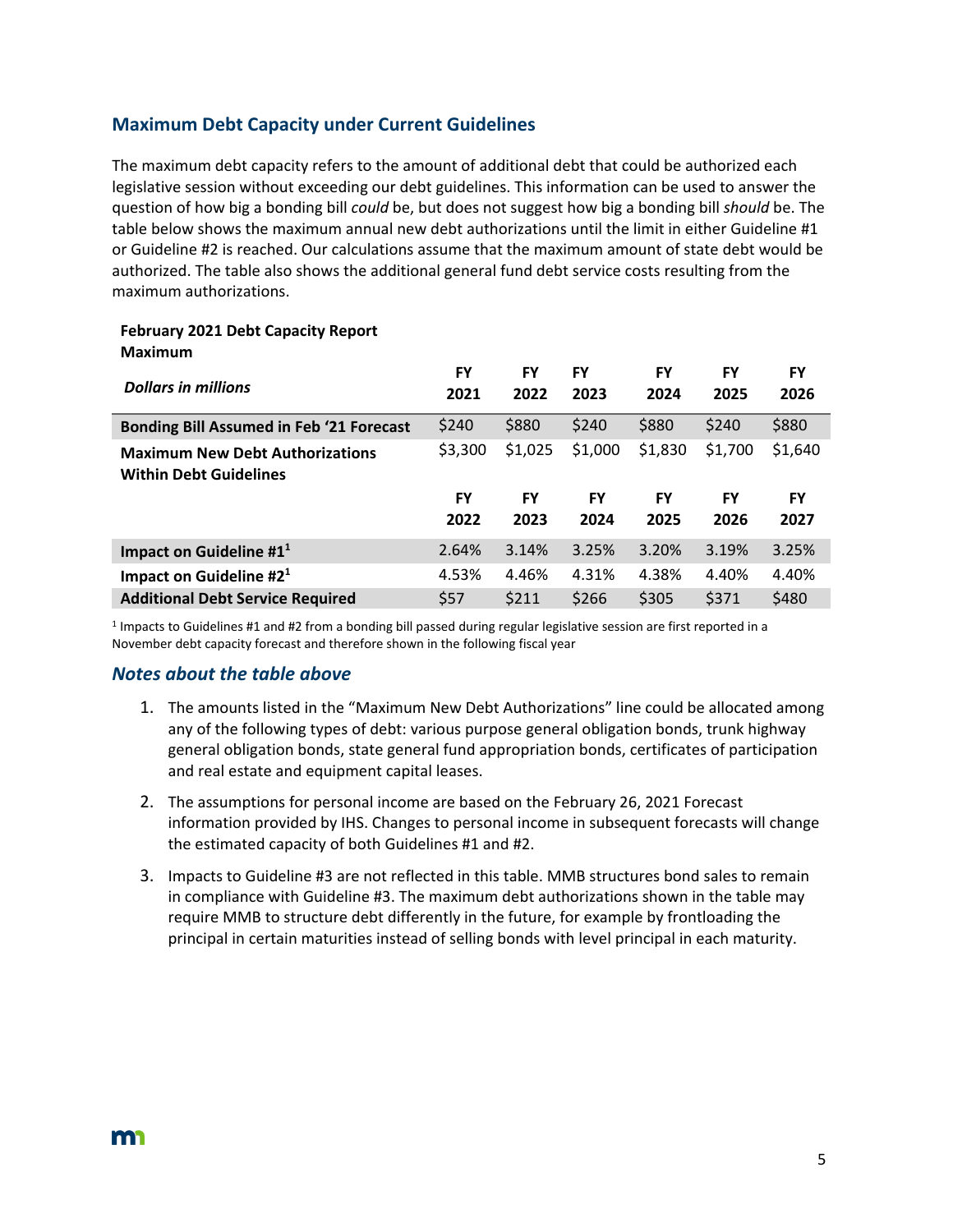### **Maximum Debt Capacity under Current Guidelines**

The maximum debt capacity refers to the amount of additional debt that could be authorized each legislative session without exceeding our debt guidelines. This information can be used to answer the question of how big a bonding bill *could* be, but does not suggest how big a bonding bill *should* be. The table below shows the maximum annual new debt authorizations until the limit in either Guideline #1 or Guideline #2 is reached. Our calculations assume that the maximum amount of state debt would be authorized. The table also shows the additional general fund debt service costs resulting from the maximum authorizations.

#### **February 2021 Debt Capacity Report Maximum**

| <b>Dollars in millions</b>                                              | FY<br>2021        | <b>FY</b><br>2022 | FY<br>2023        | FY<br>2024 | FY<br>2025 | FY<br>2026 |
|-------------------------------------------------------------------------|-------------------|-------------------|-------------------|------------|------------|------------|
| <b>Bonding Bill Assumed in Feb '21 Forecast</b>                         | \$240             | \$880             | \$240             | \$880      | \$240      | \$880      |
| <b>Maximum New Debt Authorizations</b><br><b>Within Debt Guidelines</b> | \$3,300           | \$1,025           | \$1,000           | \$1,830    | \$1,700    | \$1,640    |
|                                                                         |                   |                   |                   |            |            |            |
|                                                                         | <b>FY</b><br>2022 | <b>FY</b><br>2023 | <b>FY</b><br>2024 | FY<br>2025 | FY<br>2026 | FY<br>2027 |
| Impact on Guideline $#11$                                               | 2.64%             | 3.14%             | 3.25%             | 3.20%      | 3.19%      | 3.25%      |
| Impact on Guideline $#21$                                               | 4.53%             | 4.46%             | 4.31%             | 4.38%      | 4.40%      | 4.40%      |

 $1$  Impacts to Guidelines #1 and #2 from a bonding bill passed during regular legislative session are first reported in a November debt capacity forecast and therefore shown in the following fiscal year

### *Notes about the table above*

- 1. The amounts listed in the "Maximum New Debt Authorizations" line could be allocated among any of the following types of debt: various purpose general obligation bonds, trunk highway general obligation bonds, state general fund appropriation bonds, certificates of participation and real estate and equipment capital leases.
- 2. The assumptions for personal income are based on the February 26, 2021 Forecast information provided by IHS. Changes to personal income in subsequent forecasts will change the estimated capacity of both Guidelines #1 and #2.
- 3. Impacts to Guideline #3 are not reflected in this table. MMB structures bond sales to remain in compliance with Guideline #3. The maximum debt authorizations shown in the table may require MMB to structure debt differently in the future, for example by frontloading the principal in certain maturities instead of selling bonds with level principal in each maturity.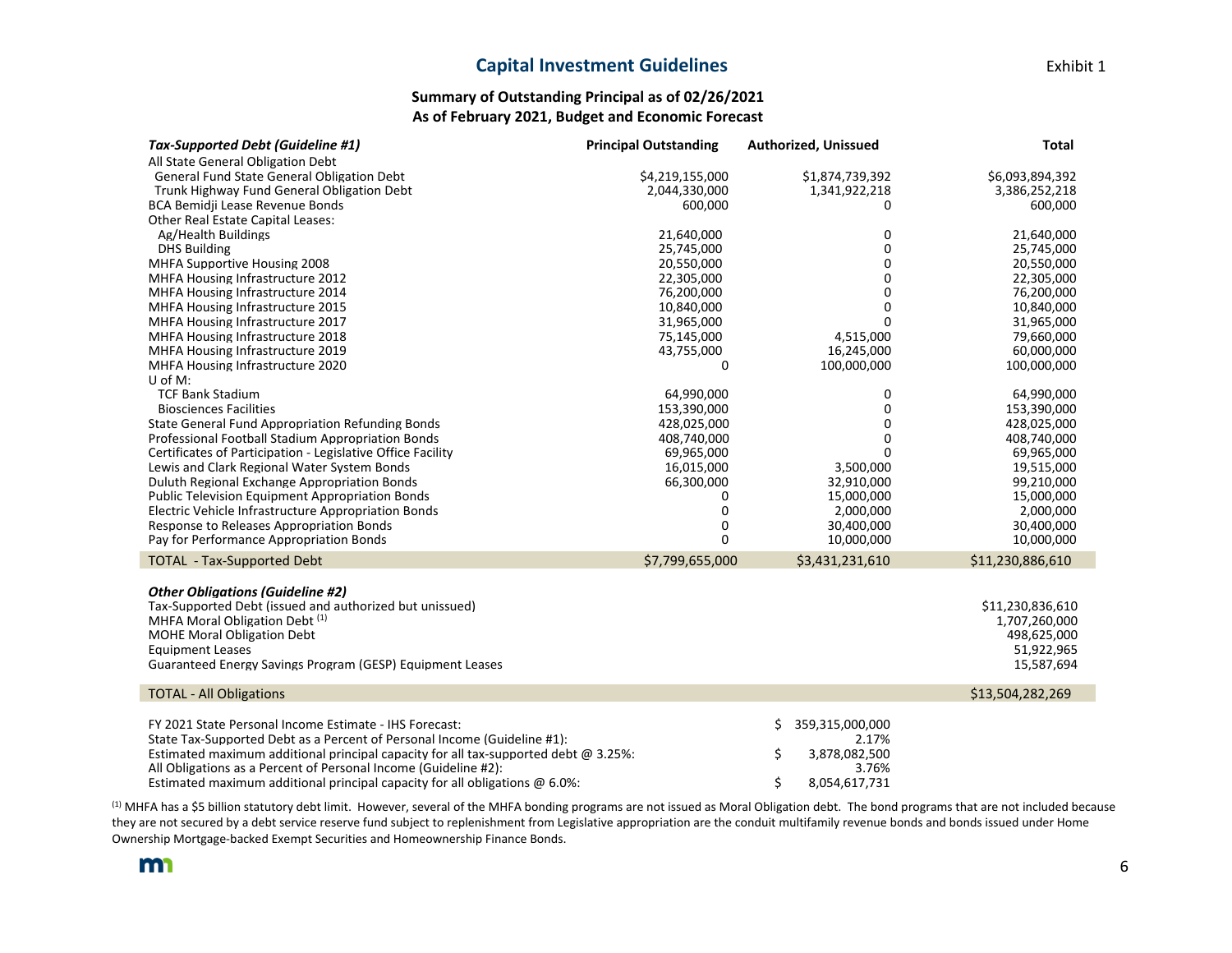#### **Capital Investment Guidelines Exhibit 1**

| Tax-Supported Debt (Guideline #1)                                                          | <b>Principal Outstanding</b> | <b>Authorized, Unissued</b> | <b>Total</b>     |
|--------------------------------------------------------------------------------------------|------------------------------|-----------------------------|------------------|
| All State General Obligation Debt                                                          |                              |                             |                  |
| General Fund State General Obligation Debt                                                 | \$4,219,155,000              | \$1,874,739,392             | \$6,093,894,392  |
| Trunk Highway Fund General Obligation Debt                                                 | 2,044,330,000                | 1,341,922,218               | 3,386,252,218    |
| BCA Bemidii Lease Revenue Bonds                                                            | 600.000                      | 0                           | 600,000          |
| <b>Other Real Estate Capital Leases:</b>                                                   |                              |                             |                  |
| Ag/Health Buildings                                                                        | 21,640,000                   | 0                           | 21,640,000       |
| <b>DHS Building</b>                                                                        | 25,745,000                   | 0                           | 25,745,000       |
| MHFA Supportive Housing 2008                                                               | 20,550,000                   | 0                           | 20,550,000       |
| <b>MHFA Housing Infrastructure 2012</b>                                                    | 22,305,000                   | 0                           | 22,305,000       |
| MHFA Housing Infrastructure 2014                                                           | 76,200,000                   | 0                           | 76,200,000       |
| MHFA Housing Infrastructure 2015                                                           | 10,840,000                   | 0                           | 10,840,000       |
| MHFA Housing Infrastructure 2017                                                           | 31,965,000                   | $\Omega$                    | 31,965,000       |
| MHFA Housing Infrastructure 2018                                                           | 75,145,000                   | 4,515,000                   | 79,660,000       |
| MHFA Housing Infrastructure 2019                                                           | 43,755,000                   | 16,245,000                  | 60,000,000       |
| MHFA Housing Infrastructure 2020                                                           | 0                            | 100,000,000                 | 100,000,000      |
| U of M:                                                                                    |                              |                             |                  |
| <b>TCF Bank Stadium</b>                                                                    | 64,990,000                   | 0                           | 64,990,000       |
| <b>Biosciences Facilities</b>                                                              | 153,390,000                  | 0                           | 153,390,000      |
| State General Fund Appropriation Refunding Bonds                                           | 428,025,000                  | 0                           | 428,025,000      |
| Professional Football Stadium Appropriation Bonds                                          | 408.740.000                  | 0                           | 408,740,000      |
| Certificates of Participation - Legislative Office Facility                                | 69,965,000                   | 0                           | 69,965,000       |
| Lewis and Clark Regional Water System Bonds                                                | 16,015,000                   | 3,500,000                   | 19,515,000       |
| Duluth Regional Exchange Appropriation Bonds                                               | 66,300,000                   | 32,910,000                  | 99,210,000       |
| <b>Public Television Equipment Appropriation Bonds</b>                                     | 0                            | 15,000,000                  | 15,000,000       |
| Electric Vehicle Infrastructure Appropriation Bonds                                        | 0                            | 2.000.000                   | 2,000,000        |
| Response to Releases Appropriation Bonds                                                   | 0                            | 30,400,000                  | 30,400,000       |
| Pay for Performance Appropriation Bonds                                                    | $\Omega$                     | 10,000,000                  | 10,000,000       |
| <b>TOTAL - Tax-Supported Debt</b>                                                          | \$7,799,655,000              | \$3,431,231,610             | \$11,230,886,610 |
|                                                                                            |                              |                             |                  |
| <b>Other Obligations (Guideline #2)</b>                                                    |                              |                             |                  |
| Tax-Supported Debt (issued and authorized but unissued)                                    |                              |                             | \$11,230,836,610 |
| MHFA Moral Obligation Debt (1)                                                             |                              |                             | 1,707,260,000    |
| <b>MOHE Moral Obligation Debt</b>                                                          |                              |                             | 498,625,000      |
| <b>Equipment Leases</b>                                                                    |                              |                             | 51,922,965       |
| Guaranteed Energy Savings Program (GESP) Equipment Leases                                  |                              |                             | 15,587,694       |
| <b>TOTAL - All Obligations</b>                                                             |                              |                             | \$13,504,282,269 |
|                                                                                            |                              |                             |                  |
| FY 2021 State Personal Income Estimate - IHS Forecast:                                     |                              | Ś.<br>359,315,000,000       |                  |
| State Tax-Supported Debt as a Percent of Personal Income (Guideline #1):                   |                              | 2.17%                       |                  |
| Estimated maximum additional principal capacity for all tax-supported debt $\omega$ 3.25%: |                              | \$<br>3,878,082,500         |                  |
| All Obligations as a Percent of Personal Income (Guideline #2):                            |                              | 3.76%                       |                  |
| Estimated maximum additional principal capacity for all obligations @ 6.0%:                |                              | \$<br>8,054,617,731         |                  |

(1) MHFA has a \$5 billion statutory debt limit. However, several of the MHFA bonding programs are not issued as Moral Obligation debt. The bond programs that are not included because they are not secured by a debt service reserve fund subject to replenishment from Legislative appropriation are the conduit multifamily revenue bonds and bonds issued under Home Ownership Mortgage-backed Exempt Securities and Homeownership Finance Bonds.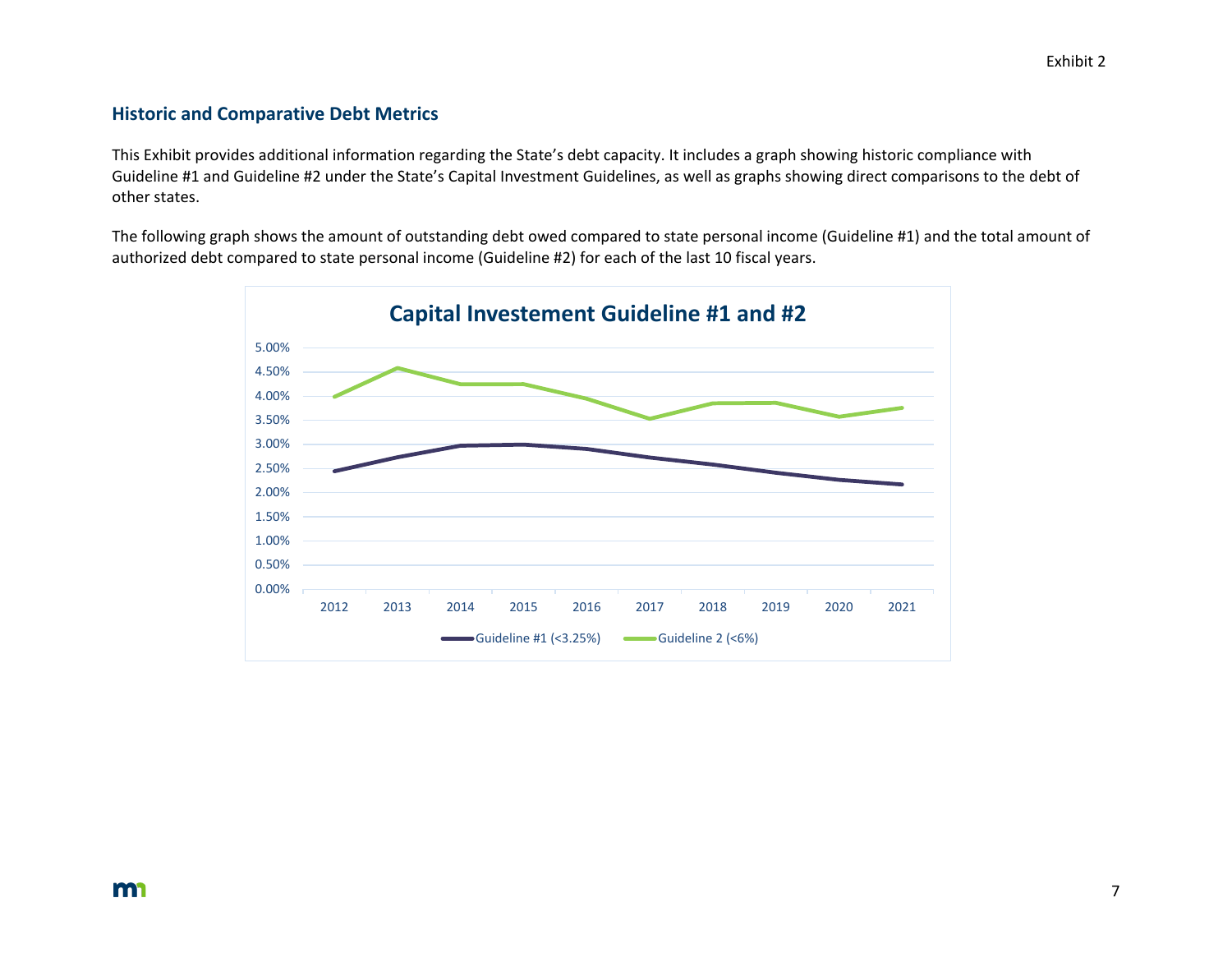#### **Historic and Comparative Debt Metrics**

This Exhibit provides additional information regarding the State's debt capacity. It includes a graph showing historic compliance with Guideline #1 and Guideline #2 under the State's Capital Investment Guidelines, as well as graphs showing direct comparisons to the debt of other states.

The following graph shows the amount of outstanding debt owed compared to state personal income (Guideline #1) and the total amount of authorized debt compared to state personal income (Guideline #2) for each of the last 10 fiscal years.

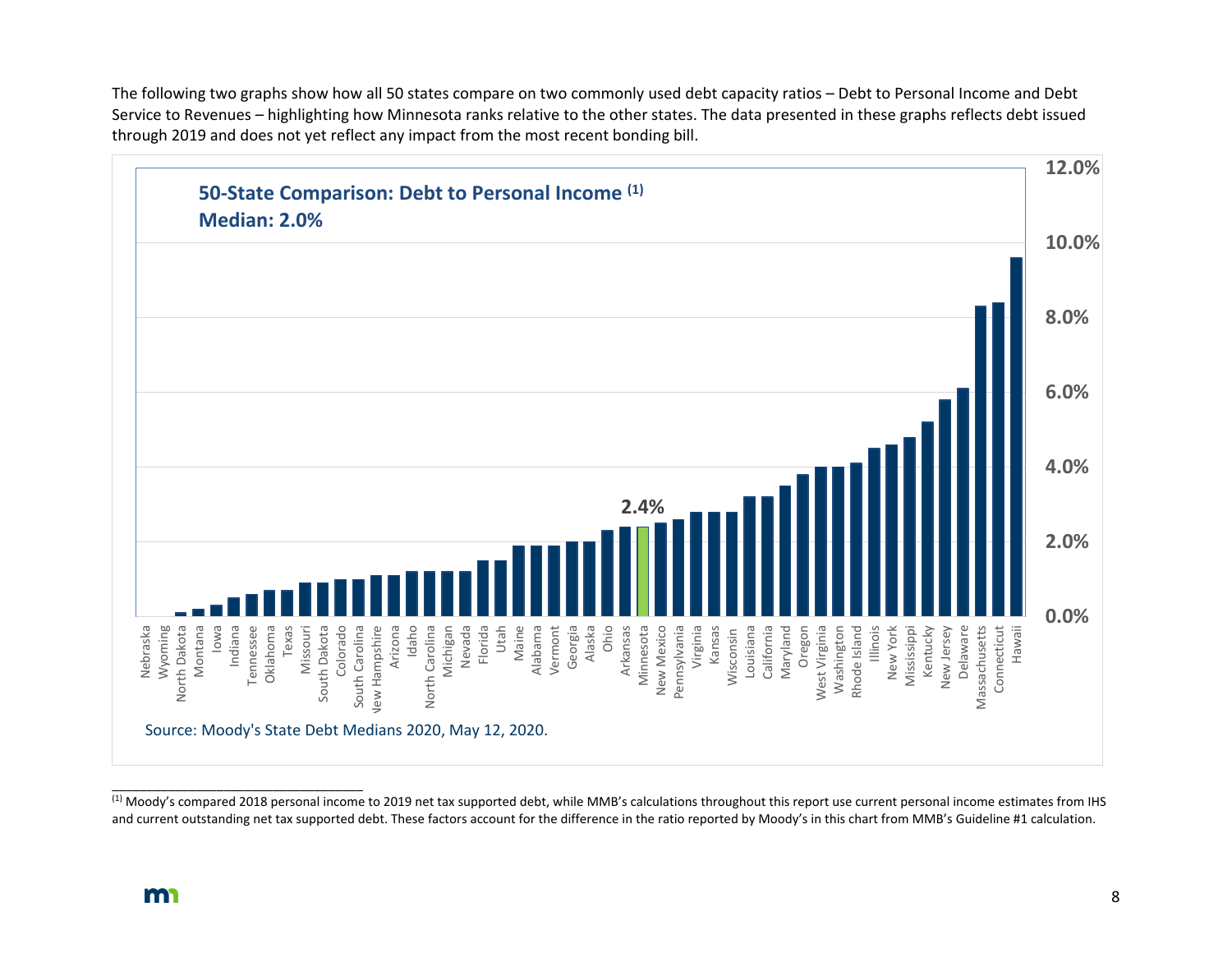The following two graphs show how all 50 states compare on two commonly used debt capacity ratios – Debt to Personal Income and Debt Service to Revenues – highlighting how Minnesota ranks relative to the other states. The data presented in these graphs reflects debt issued through 2019 and does not yet reflect any impact from the most recent bonding bill.



<sup>&</sup>lt;sup>(1)</sup> Moody's compared 2018 personal income to 2019 net tax supported debt, while MMB's calculations throughout this report use current personal income estimates from IHS and current outstanding net tax supported debt. These factors account for the difference in the ratio reported by Moody's in this chart from MMB's Guideline #1 calculation.

\_\_\_\_\_\_\_\_\_\_\_\_\_\_\_\_\_\_\_\_\_\_\_\_\_\_\_\_\_\_\_\_\_\_\_\_